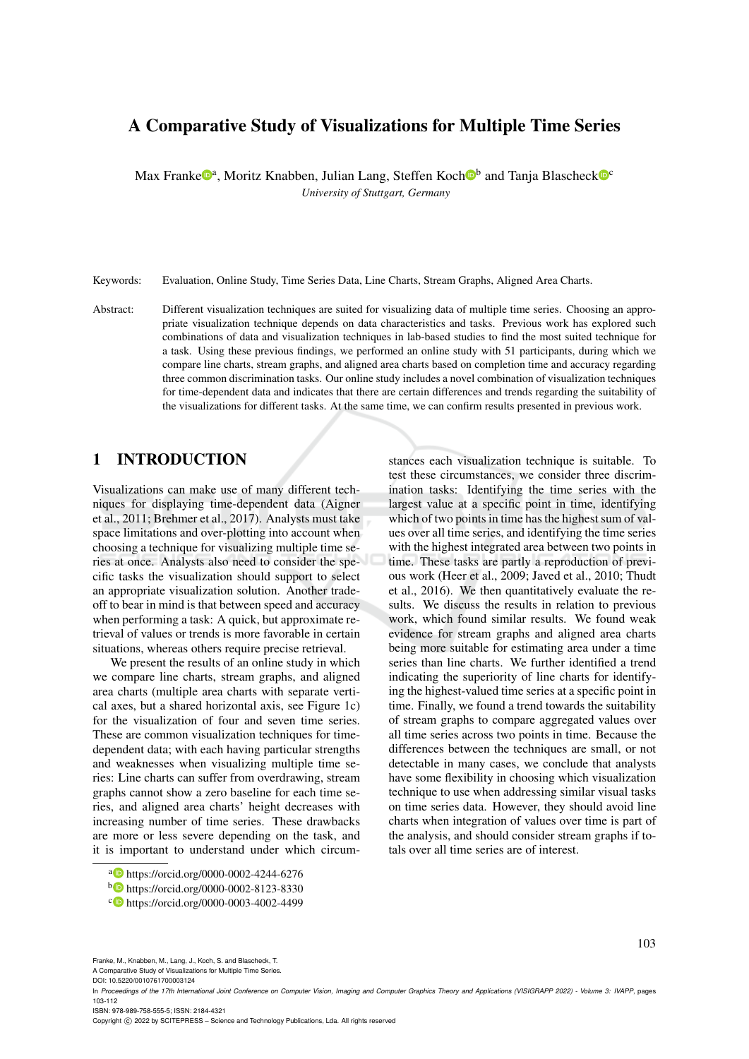# A Comparative Study of Visualizations for Multiple Time Series

Max Franke<sup>n</sup>, Moritz Knabben, Julian Lang, Steffen Koch<sup>nb</sup> and Tanja Blascheck<sup>no</sup> *University of Stuttgart, Germany*

Keywords: Evaluation, Online Study, Time Series Data, Line Charts, Stream Graphs, Aligned Area Charts.

Abstract: Different visualization techniques are suited for visualizing data of multiple time series. Choosing an appropriate visualization technique depends on data characteristics and tasks. Previous work has explored such combinations of data and visualization techniques in lab-based studies to find the most suited technique for a task. Using these previous findings, we performed an online study with 51 participants, during which we compare line charts, stream graphs, and aligned area charts based on completion time and accuracy regarding three common discrimination tasks. Our online study includes a novel combination of visualization techniques for time-dependent data and indicates that there are certain differences and trends regarding the suitability of the visualizations for different tasks. At the same time, we can confirm results presented in previous work.

### 1 INTRODUCTION

Visualizations can make use of many different techniques for displaying time-dependent data (Aigner et al., 2011; Brehmer et al., 2017). Analysts must take space limitations and over-plotting into account when choosing a technique for visualizing multiple time series at once. Analysts also need to consider the specific tasks the visualization should support to select an appropriate visualization solution. Another tradeoff to bear in mind is that between speed and accuracy when performing a task: A quick, but approximate retrieval of values or trends is more favorable in certain situations, whereas others require precise retrieval.

We present the results of an online study in which we compare line charts, stream graphs, and aligned area charts (multiple area charts with separate vertical axes, but a shared horizontal axis, see Figure 1c) for the visualization of four and seven time series. These are common visualization techniques for timedependent data; with each having particular strengths and weaknesses when visualizing multiple time series: Line charts can suffer from overdrawing, stream graphs cannot show a zero baseline for each time series, and aligned area charts' height decreases with increasing number of time series. These drawbacks are more or less severe depending on the task, and it is important to understand under which circum-

stances each visualization technique is suitable. To test these circumstances, we consider three discrimination tasks: Identifying the time series with the largest value at a specific point in time, identifying which of two points in time has the highest sum of values over all time series, and identifying the time series with the highest integrated area between two points in time. These tasks are partly a reproduction of previous work (Heer et al., 2009; Javed et al., 2010; Thudt et al., 2016). We then quantitatively evaluate the results. We discuss the results in relation to previous work, which found similar results. We found weak evidence for stream graphs and aligned area charts being more suitable for estimating area under a time series than line charts. We further identified a trend indicating the superiority of line charts for identifying the highest-valued time series at a specific point in time. Finally, we found a trend towards the suitability of stream graphs to compare aggregated values over all time series across two points in time. Because the differences between the techniques are small, or not detectable in many cases, we conclude that analysts have some flexibility in choosing which visualization technique to use when addressing similar visual tasks on time series data. However, they should avoid line charts when integration of values over time is part of the analysis, and should consider stream graphs if totals over all time series are of interest.

Franke, M., Knabben, M., Lang, J., Koch, S. and Blascheck, T.

A Comparative Study of Visualizations for Multiple Time Series. DOI: 10.5220/0010761700003124

ISBN: 978-989-758-555-5; ISSN: 2184-4321

<sup>a</sup> https://orcid.org/0000-0002-4244-6276

<sup>b</sup> https://orcid.org/0000-0002-8123-8330

<sup>c</sup> https://orcid.org/0000-0003-4002-4499

In *Proceedings of the 17th International Joint Conference on Computer Vision, Imaging and Computer Graphics Theory and Applications (VISIGRAPP 2022) - Volume 3: IVAPP*, pages 103-112

Copyright © 2022 by SCITEPRESS - Science and Technology Publications, Lda. All rights reserved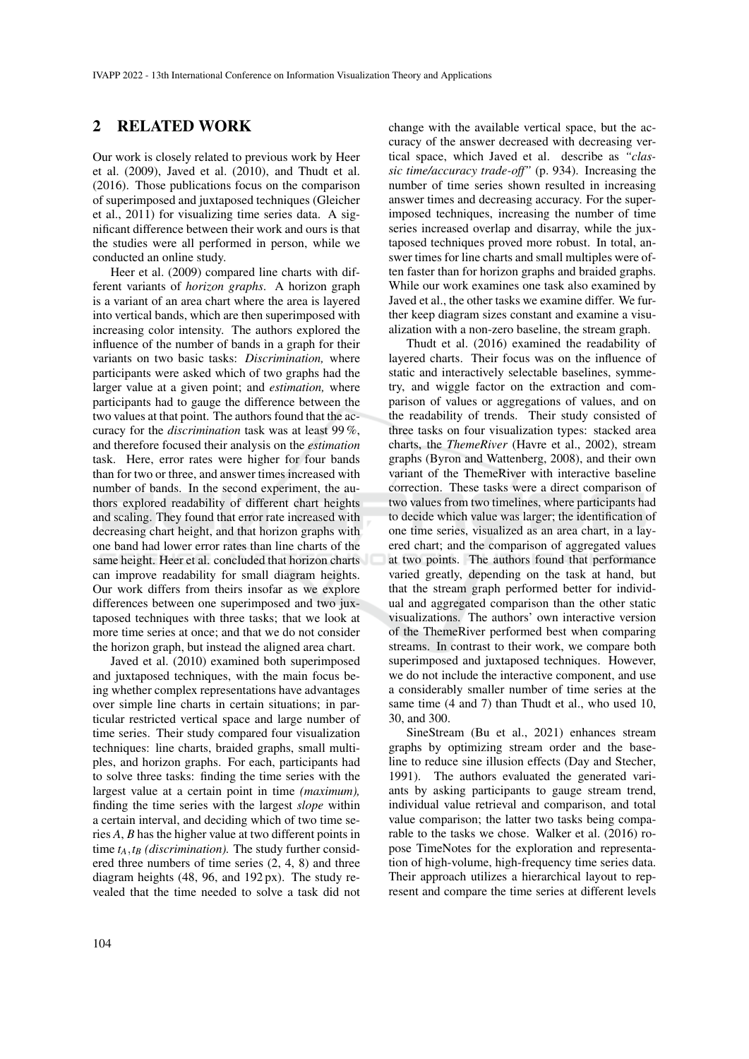### 2 RELATED WORK

Our work is closely related to previous work by Heer et al. (2009), Javed et al. (2010), and Thudt et al. (2016). Those publications focus on the comparison of superimposed and juxtaposed techniques (Gleicher et al., 2011) for visualizing time series data. A significant difference between their work and ours is that the studies were all performed in person, while we conducted an online study.

Heer et al. (2009) compared line charts with different variants of *horizon graphs*. A horizon graph is a variant of an area chart where the area is layered into vertical bands, which are then superimposed with increasing color intensity. The authors explored the influence of the number of bands in a graph for their variants on two basic tasks: *Discrimination,* where participants were asked which of two graphs had the larger value at a given point; and *estimation,* where participants had to gauge the difference between the two values at that point. The authors found that the accuracy for the *discrimination* task was at least 99 %, and therefore focused their analysis on the *estimation* task. Here, error rates were higher for four bands than for two or three, and answer times increased with number of bands. In the second experiment, the authors explored readability of different chart heights and scaling. They found that error rate increased with decreasing chart height, and that horizon graphs with one band had lower error rates than line charts of the same height. Heer et al. concluded that horizon charts can improve readability for small diagram heights. Our work differs from theirs insofar as we explore differences between one superimposed and two juxtaposed techniques with three tasks; that we look at more time series at once; and that we do not consider the horizon graph, but instead the aligned area chart.

Javed et al. (2010) examined both superimposed and juxtaposed techniques, with the main focus being whether complex representations have advantages over simple line charts in certain situations; in particular restricted vertical space and large number of time series. Their study compared four visualization techniques: line charts, braided graphs, small multiples, and horizon graphs. For each, participants had to solve three tasks: finding the time series with the largest value at a certain point in time *(maximum),* finding the time series with the largest *slope* within a certain interval, and deciding which of two time series *A*, *B* has the higher value at two different points in time  $t_A$ ,  $t_B$  *(discrimination)*. The study further considered three numbers of time series (2, 4, 8) and three diagram heights (48, 96, and 192 px). The study revealed that the time needed to solve a task did not

change with the available vertical space, but the accuracy of the answer decreased with decreasing vertical space, which Javed et al. describe as *"classic time/accuracy trade-off"* (p. 934). Increasing the number of time series shown resulted in increasing answer times and decreasing accuracy. For the superimposed techniques, increasing the number of time series increased overlap and disarray, while the juxtaposed techniques proved more robust. In total, answer times for line charts and small multiples were often faster than for horizon graphs and braided graphs. While our work examines one task also examined by Javed et al., the other tasks we examine differ. We further keep diagram sizes constant and examine a visualization with a non-zero baseline, the stream graph.

Thudt et al. (2016) examined the readability of layered charts. Their focus was on the influence of static and interactively selectable baselines, symmetry, and wiggle factor on the extraction and comparison of values or aggregations of values, and on the readability of trends. Their study consisted of three tasks on four visualization types: stacked area charts, the *ThemeRiver* (Havre et al., 2002), stream graphs (Byron and Wattenberg, 2008), and their own variant of the ThemeRiver with interactive baseline correction. These tasks were a direct comparison of two values from two timelines, where participants had to decide which value was larger; the identification of one time series, visualized as an area chart, in a layered chart; and the comparison of aggregated values at two points. The authors found that performance varied greatly, depending on the task at hand, but that the stream graph performed better for individual and aggregated comparison than the other static visualizations. The authors' own interactive version of the ThemeRiver performed best when comparing streams. In contrast to their work, we compare both superimposed and juxtaposed techniques. However, we do not include the interactive component, and use a considerably smaller number of time series at the same time (4 and 7) than Thudt et al., who used 10, 30, and 300.

SineStream (Bu et al., 2021) enhances stream graphs by optimizing stream order and the baseline to reduce sine illusion effects (Day and Stecher, 1991). The authors evaluated the generated variants by asking participants to gauge stream trend, individual value retrieval and comparison, and total value comparison; the latter two tasks being comparable to the tasks we chose. Walker et al. (2016) ropose TimeNotes for the exploration and representation of high-volume, high-frequency time series data. Their approach utilizes a hierarchical layout to represent and compare the time series at different levels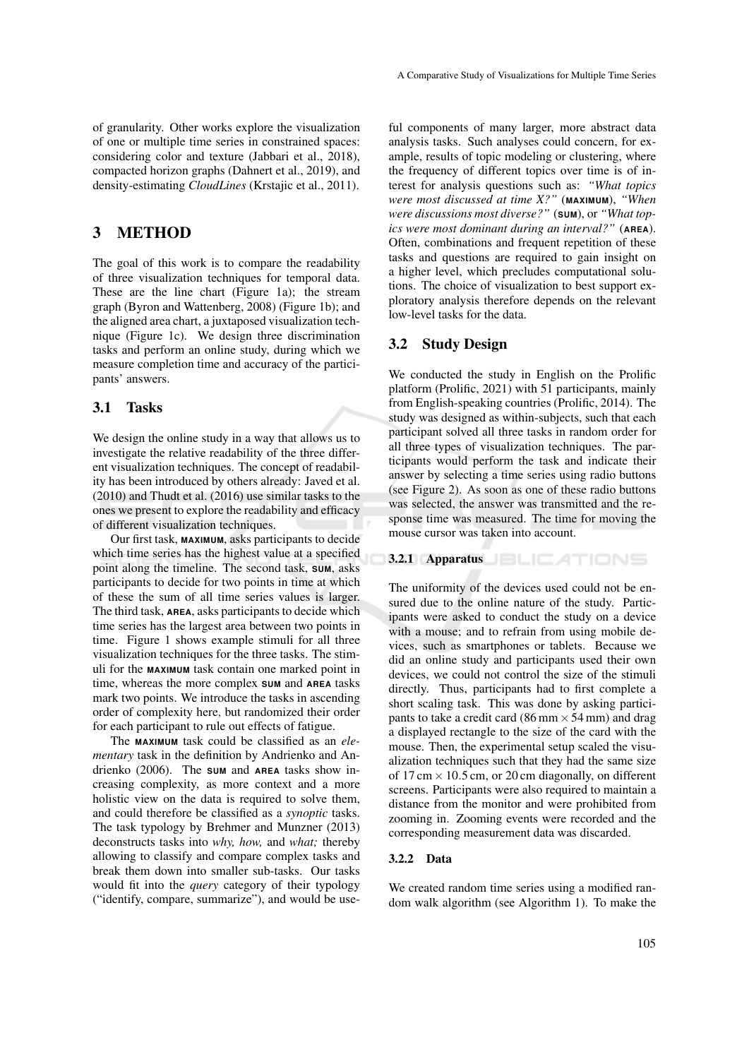of granularity. Other works explore the visualization of one or multiple time series in constrained spaces: considering color and texture (Jabbari et al., 2018), compacted horizon graphs (Dahnert et al., 2019), and density-estimating *CloudLines* (Krstajic et al., 2011).

### 3 METHOD

The goal of this work is to compare the readability of three visualization techniques for temporal data. These are the line chart (Figure 1a); the stream graph (Byron and Wattenberg, 2008) (Figure 1b); and the aligned area chart, a juxtaposed visualization technique (Figure 1c). We design three discrimination tasks and perform an online study, during which we measure completion time and accuracy of the participants' answers.

#### 3.1 Tasks

We design the online study in a way that allows us to investigate the relative readability of the three different visualization techniques. The concept of readability has been introduced by others already: Javed et al. (2010) and Thudt et al. (2016) use similar tasks to the ones we present to explore the readability and efficacy of different visualization techniques.

Our first task, **MAXIMUM**, asks participants to decide which time series has the highest value at a specified point along the timeline. The second task, **SUM**, asks participants to decide for two points in time at which of these the sum of all time series values is larger. The third task, **AREA**, asks participants to decide which time series has the largest area between two points in time. Figure 1 shows example stimuli for all three visualization techniques for the three tasks. The stimuli for the **MAXIMUM** task contain one marked point in time, whereas the more complex **SUM** and **AREA** tasks mark two points. We introduce the tasks in ascending order of complexity here, but randomized their order for each participant to rule out effects of fatigue.

The **MAXIMUM** task could be classified as an *elementary* task in the definition by Andrienko and Andrienko (2006). The **SUM** and **AREA** tasks show increasing complexity, as more context and a more holistic view on the data is required to solve them, and could therefore be classified as a *synoptic* tasks. The task typology by Brehmer and Munzner (2013) deconstructs tasks into *why, how,* and *what;* thereby allowing to classify and compare complex tasks and break them down into smaller sub-tasks. Our tasks would fit into the *query* category of their typology ("identify, compare, summarize"), and would be use-

ful components of many larger, more abstract data analysis tasks. Such analyses could concern, for example, results of topic modeling or clustering, where the frequency of different topics over time is of interest for analysis questions such as: *"What topics were most discussed at time X?"* (**MAXIMUM**), *"When were discussions most diverse?"* (**SUM**), or *"What topics were most dominant during an interval?"* (**AREA**). Often, combinations and frequent repetition of these tasks and questions are required to gain insight on a higher level, which precludes computational solutions. The choice of visualization to best support exploratory analysis therefore depends on the relevant low-level tasks for the data.

#### 3.2 Study Design

We conducted the study in English on the Prolific platform (Prolific, 2021) with 51 participants, mainly from English-speaking countries (Prolific, 2014). The study was designed as within-subjects, such that each participant solved all three tasks in random order for all three types of visualization techniques. The participants would perform the task and indicate their answer by selecting a time series using radio buttons (see Figure 2). As soon as one of these radio buttons was selected, the answer was transmitted and the response time was measured. The time for moving the mouse cursor was taken into account.

3.2.1 Apparatus

The uniformity of the devices used could not be ensured due to the online nature of the study. Participants were asked to conduct the study on a device with a mouse; and to refrain from using mobile devices, such as smartphones or tablets. Because we did an online study and participants used their own devices, we could not control the size of the stimuli directly. Thus, participants had to first complete a short scaling task. This was done by asking participants to take a credit card (86 mm  $\times$  54 mm) and drag a displayed rectangle to the size of the card with the mouse. Then, the experimental setup scaled the visualization techniques such that they had the same size of 17 cm  $\times$  10.5 cm, or 20 cm diagonally, on different screens. Participants were also required to maintain a distance from the monitor and were prohibited from zooming in. Zooming events were recorded and the corresponding measurement data was discarded.

#### 3.2.2 Data

We created random time series using a modified random walk algorithm (see Algorithm 1). To make the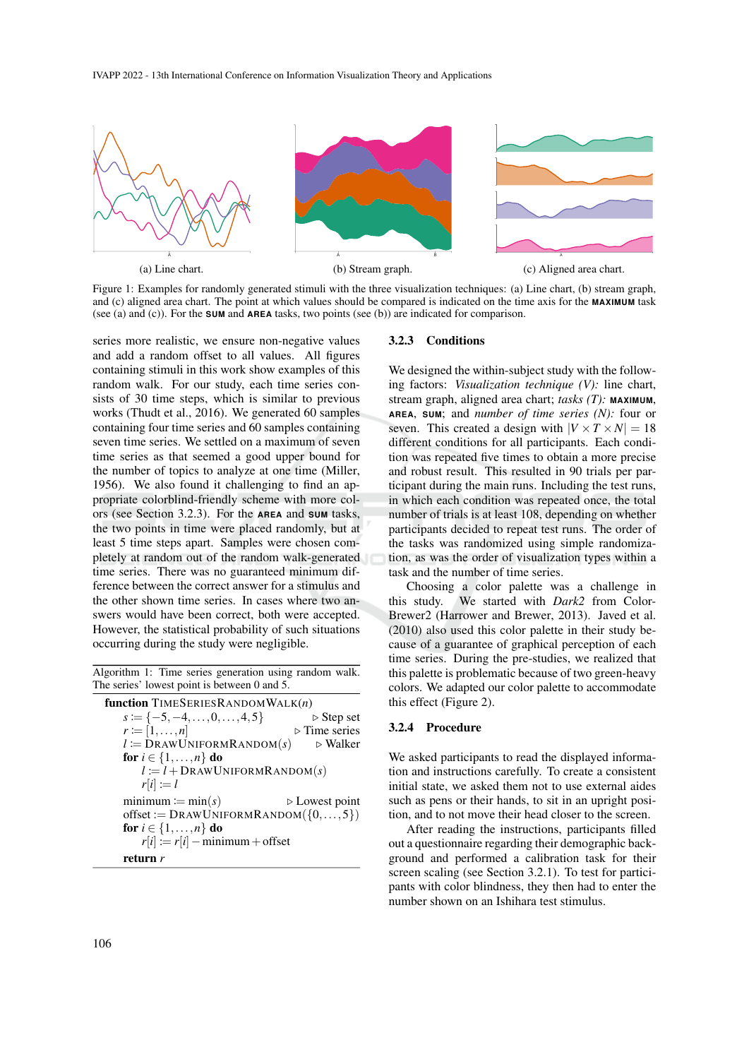IVAPP 2022 - 13th International Conference on Information Visualization Theory and Applications



Figure 1: Examples for randomly generated stimuli with the three visualization techniques: (a) Line chart, (b) stream graph, and (c) aligned area chart. The point at which values should be compared is indicated on the time axis for the **MAXIMUM** task (see (a) and (c)). For the **SUM** and **AREA** tasks, two points (see (b)) are indicated for comparison.

series more realistic, we ensure non-negative values and add a random offset to all values. All figures containing stimuli in this work show examples of this random walk. For our study, each time series consists of 30 time steps, which is similar to previous works (Thudt et al., 2016). We generated 60 samples containing four time series and 60 samples containing seven time series. We settled on a maximum of seven time series as that seemed a good upper bound for the number of topics to analyze at one time (Miller, 1956). We also found it challenging to find an appropriate colorblind-friendly scheme with more colors (see Section 3.2.3). For the **AREA** and **SUM** tasks, the two points in time were placed randomly, but at least 5 time steps apart. Samples were chosen completely at random out of the random walk-generated time series. There was no guaranteed minimum difference between the correct answer for a stimulus and the other shown time series. In cases where two answers would have been correct, both were accepted. However, the statistical probability of such situations occurring during the study were negligible.

Algorithm 1: Time series generation using random walk. The series' lowest point is between 0 and 5.

| <b>function</b> TIMESERIESRANDOMWALK $(n)$        |                               |
|---------------------------------------------------|-------------------------------|
| $s \coloneqq \{-5, -4, \ldots, 0, \ldots, 4, 5\}$ | $\triangleright$ Step set     |
| $r \coloneqq [1,\ldots,n]$                        | $\triangleright$ Time series  |
| $l := \text{DrawUNIFORMRandom}(s)$                | ⊳ Walker                      |
| for $i \in \{1, \ldots, n\}$ do                   |                               |
| $l := l + \text{DrawUNIFORMRandom}(s)$            |                               |
| $r[i] := l$                                       |                               |
| $minimum := min(s)$                               | $\triangleright$ Lowest point |
| offset := $DRAWUNIFORMRANDOM({0, , 5})$           |                               |
| for $i \in \{1, \ldots, n\}$ do                   |                               |
| $r[i] := r[i] - \text{minimum} + \text{offset}$   |                               |
| return <i>r</i>                                   |                               |

#### 3.2.3 Conditions

We designed the within-subject study with the following factors: *Visualization technique (V):* line chart, stream graph, aligned area chart; *tasks (T):* **MAXIMUM**, **AREA**, **SUM**; and *number of time series (N):* four or seven. This created a design with  $|V \times T \times N| = 18$ different conditions for all participants. Each condition was repeated five times to obtain a more precise and robust result. This resulted in 90 trials per participant during the main runs. Including the test runs, in which each condition was repeated once, the total number of trials is at least 108, depending on whether participants decided to repeat test runs. The order of the tasks was randomized using simple randomization, as was the order of visualization types within a task and the number of time series.

Choosing a color palette was a challenge in this study. We started with *Dark2* from Color-Brewer2 (Harrower and Brewer, 2013). Javed et al. (2010) also used this color palette in their study because of a guarantee of graphical perception of each time series. During the pre-studies, we realized that this palette is problematic because of two green-heavy colors. We adapted our color palette to accommodate this effect (Figure 2).

#### 3.2.4 Procedure

We asked participants to read the displayed information and instructions carefully. To create a consistent initial state, we asked them not to use external aides such as pens or their hands, to sit in an upright position, and to not move their head closer to the screen.

After reading the instructions, participants filled out a questionnaire regarding their demographic background and performed a calibration task for their screen scaling (see Section 3.2.1). To test for participants with color blindness, they then had to enter the number shown on an Ishihara test stimulus.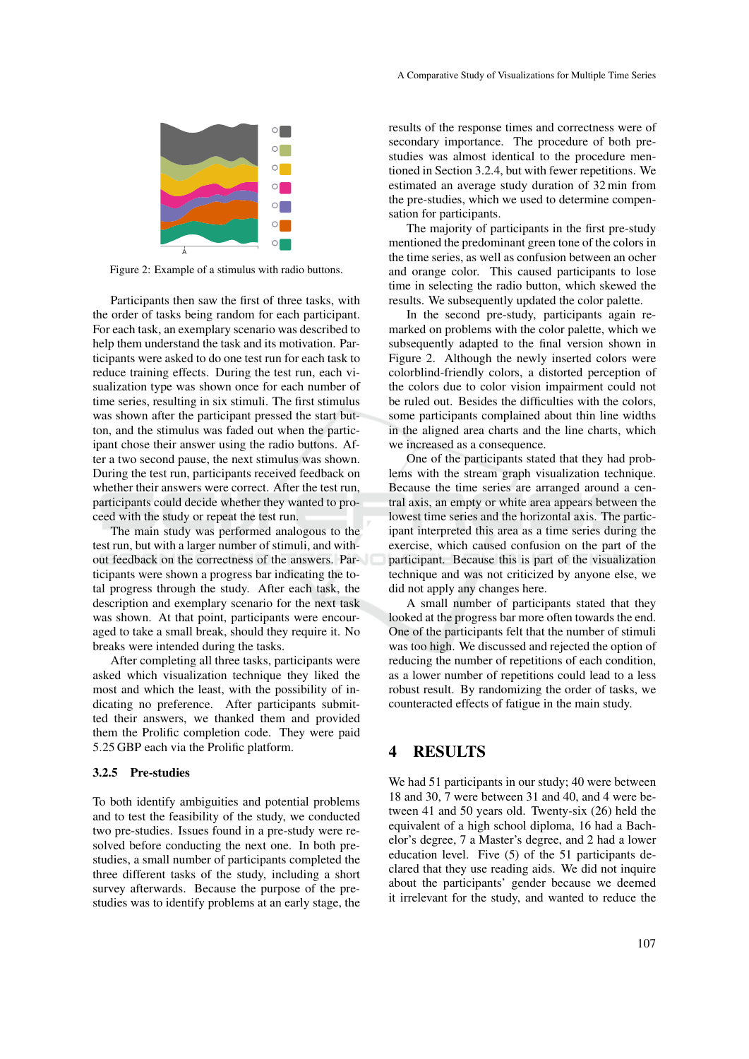

Figure 2: Example of a stimulus with radio buttons.

Participants then saw the first of three tasks, with the order of tasks being random for each participant. For each task, an exemplary scenario was described to help them understand the task and its motivation. Participants were asked to do one test run for each task to reduce training effects. During the test run, each visualization type was shown once for each number of time series, resulting in six stimuli. The first stimulus was shown after the participant pressed the start button, and the stimulus was faded out when the participant chose their answer using the radio buttons. After a two second pause, the next stimulus was shown. During the test run, participants received feedback on whether their answers were correct. After the test run, participants could decide whether they wanted to proceed with the study or repeat the test run.

The main study was performed analogous to the test run, but with a larger number of stimuli, and without feedback on the correctness of the answers. Participants were shown a progress bar indicating the total progress through the study. After each task, the description and exemplary scenario for the next task was shown. At that point, participants were encouraged to take a small break, should they require it. No breaks were intended during the tasks.

After completing all three tasks, participants were asked which visualization technique they liked the most and which the least, with the possibility of indicating no preference. After participants submitted their answers, we thanked them and provided them the Prolific completion code. They were paid 5.25 GBP each via the Prolific platform.

#### 3.2.5 Pre-studies

To both identify ambiguities and potential problems and to test the feasibility of the study, we conducted two pre-studies. Issues found in a pre-study were resolved before conducting the next one. In both prestudies, a small number of participants completed the three different tasks of the study, including a short survey afterwards. Because the purpose of the prestudies was to identify problems at an early stage, the

results of the response times and correctness were of secondary importance. The procedure of both prestudies was almost identical to the procedure mentioned in Section 3.2.4, but with fewer repetitions. We estimated an average study duration of 32 min from the pre-studies, which we used to determine compensation for participants.

The majority of participants in the first pre-study mentioned the predominant green tone of the colors in the time series, as well as confusion between an ocher and orange color. This caused participants to lose time in selecting the radio button, which skewed the results. We subsequently updated the color palette.

In the second pre-study, participants again remarked on problems with the color palette, which we subsequently adapted to the final version shown in Figure 2. Although the newly inserted colors were colorblind-friendly colors, a distorted perception of the colors due to color vision impairment could not be ruled out. Besides the difficulties with the colors, some participants complained about thin line widths in the aligned area charts and the line charts, which we increased as a consequence.

One of the participants stated that they had problems with the stream graph visualization technique. Because the time series are arranged around a central axis, an empty or white area appears between the lowest time series and the horizontal axis. The participant interpreted this area as a time series during the exercise, which caused confusion on the part of the participant. Because this is part of the visualization technique and was not criticized by anyone else, we did not apply any changes here.

A small number of participants stated that they looked at the progress bar more often towards the end. One of the participants felt that the number of stimuli was too high. We discussed and rejected the option of reducing the number of repetitions of each condition, as a lower number of repetitions could lead to a less robust result. By randomizing the order of tasks, we counteracted effects of fatigue in the main study.

### 4 RESULTS

We had 51 participants in our study; 40 were between 18 and 30, 7 were between 31 and 40, and 4 were between 41 and 50 years old. Twenty-six (26) held the equivalent of a high school diploma, 16 had a Bachelor's degree, 7 a Master's degree, and 2 had a lower education level. Five (5) of the 51 participants declared that they use reading aids. We did not inquire about the participants' gender because we deemed it irrelevant for the study, and wanted to reduce the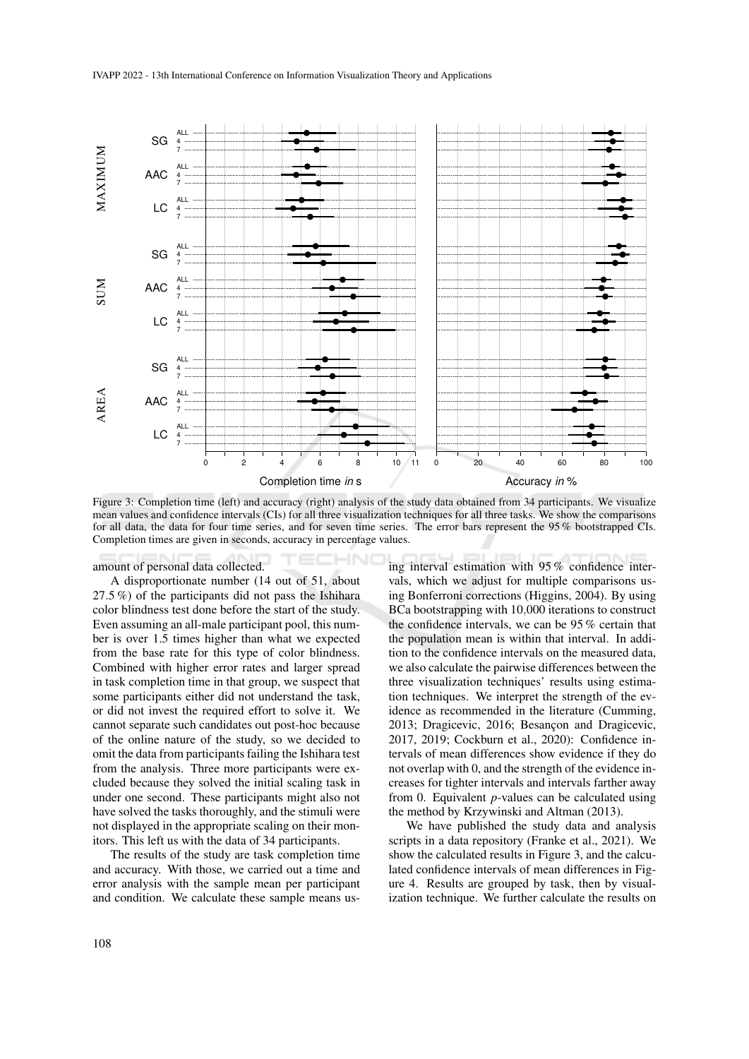

Figure 3: Completion time (left) and accuracy (right) analysis of the study data obtained from 34 participants. We visualize mean values and confidence intervals (CIs) for all three visualization techniques for all three tasks. We show the comparisons for all data, the data for four time series, and for seven time series. The error bars represent the 95 % bootstrapped CIs. Completion times are given in seconds, accuracy in percentage values.

amount of personal data collected.

A disproportionate number (14 out of 51, about 27.5 %) of the participants did not pass the Ishihara color blindness test done before the start of the study. Even assuming an all-male participant pool, this number is over 1.5 times higher than what we expected from the base rate for this type of color blindness. Combined with higher error rates and larger spread in task completion time in that group, we suspect that some participants either did not understand the task, or did not invest the required effort to solve it. We cannot separate such candidates out post-hoc because of the online nature of the study, so we decided to omit the data from participants failing the Ishihara test from the analysis. Three more participants were excluded because they solved the initial scaling task in under one second. These participants might also not have solved the tasks thoroughly, and the stimuli were not displayed in the appropriate scaling on their monitors. This left us with the data of 34 participants.

The results of the study are task completion time and accuracy. With those, we carried out a time and error analysis with the sample mean per participant and condition. We calculate these sample means using interval estimation with 95 % confidence intervals, which we adjust for multiple comparisons using Bonferroni corrections (Higgins, 2004). By using BCa bootstrapping with 10,000 iterations to construct the confidence intervals, we can be 95 % certain that the population mean is within that interval. In addition to the confidence intervals on the measured data, we also calculate the pairwise differences between the three visualization techniques' results using estimation techniques. We interpret the strength of the evidence as recommended in the literature (Cumming, 2013; Dragicevic, 2016; Besancon and Dragicevic, 2017, 2019; Cockburn et al., 2020): Confidence intervals of mean differences show evidence if they do not overlap with 0, and the strength of the evidence increases for tighter intervals and intervals farther away from 0. Equivalent *p*-values can be calculated using the method by Krzywinski and Altman (2013).

We have published the study data and analysis scripts in a data repository (Franke et al., 2021). We show the calculated results in Figure 3, and the calculated confidence intervals of mean differences in Figure 4. Results are grouped by task, then by visualization technique. We further calculate the results on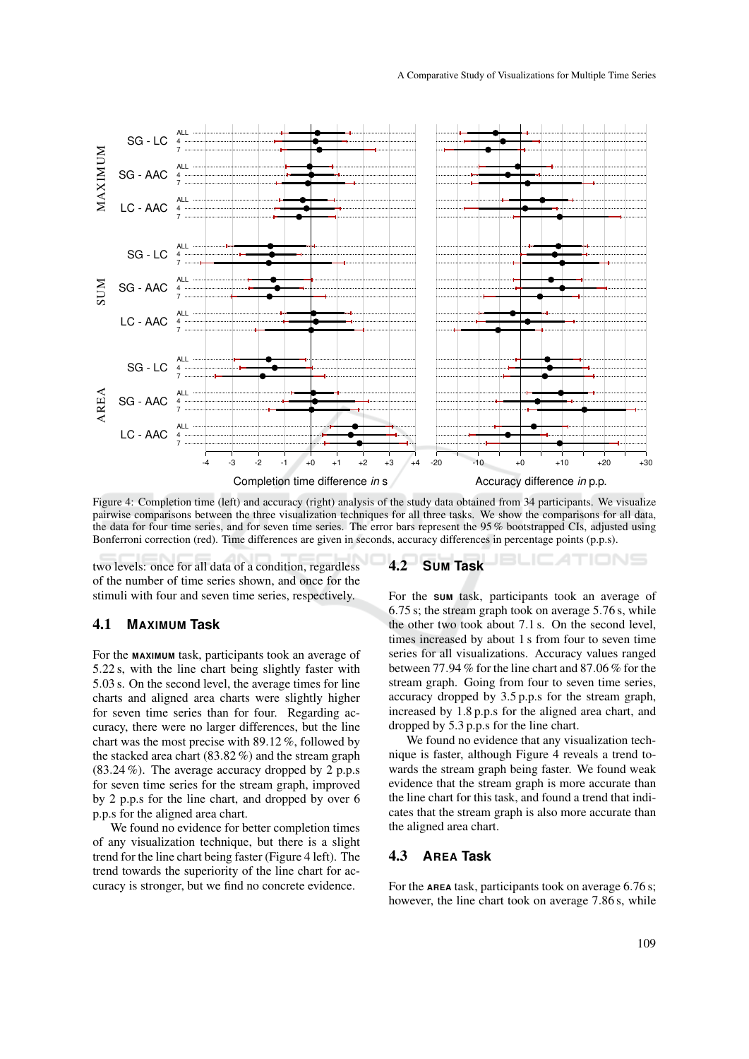

Figure 4: Completion time (left) and accuracy (right) analysis of the study data obtained from 34 participants. We visualize pairwise comparisons between the three visualization techniques for all three tasks. We show the comparisons for all data, the data for four time series, and for seven time series. The error bars represent the 95 % bootstrapped CIs, adjusted using Bonferroni correction (red). Time differences are given in seconds, accuracy differences in percentage points (p.p.s).

two levels: once for all data of a condition, regardless of the number of time series shown, and once for the stimuli with four and seven time series, respectively.

#### 4.1 **MAXIMUM Task**

For the **MAXIMUM** task, participants took an average of 5.22 s, with the line chart being slightly faster with 5.03 s. On the second level, the average times for line charts and aligned area charts were slightly higher for seven time series than for four. Regarding accuracy, there were no larger differences, but the line chart was the most precise with 89.12 %, followed by the stacked area chart (83.82 %) and the stream graph (83.24 %). The average accuracy dropped by 2 p.p.s for seven time series for the stream graph, improved by 2 p.p.s for the line chart, and dropped by over 6 p.p.s for the aligned area chart.

We found no evidence for better completion times of any visualization technique, but there is a slight trend for the line chart being faster (Figure 4 left). The trend towards the superiority of the line chart for accuracy is stronger, but we find no concrete evidence.

#### 4.2 **SUM Task**

For the **SUM** task, participants took an average of 6.75 s; the stream graph took on average 5.76 s, while the other two took about 7.1 s. On the second level, times increased by about 1 s from four to seven time series for all visualizations. Accuracy values ranged between 77.94 % for the line chart and 87.06 % for the stream graph. Going from four to seven time series, accuracy dropped by 3.5 p.p.s for the stream graph, increased by 1.8 p.p.s for the aligned area chart, and dropped by 5.3 p.p.s for the line chart.

We found no evidence that any visualization technique is faster, although Figure 4 reveals a trend towards the stream graph being faster. We found weak evidence that the stream graph is more accurate than the line chart for this task, and found a trend that indicates that the stream graph is also more accurate than the aligned area chart.

#### 4.3 **AREA Task**

For the **AREA** task, participants took on average 6.76 s; however, the line chart took on average 7.86 s, while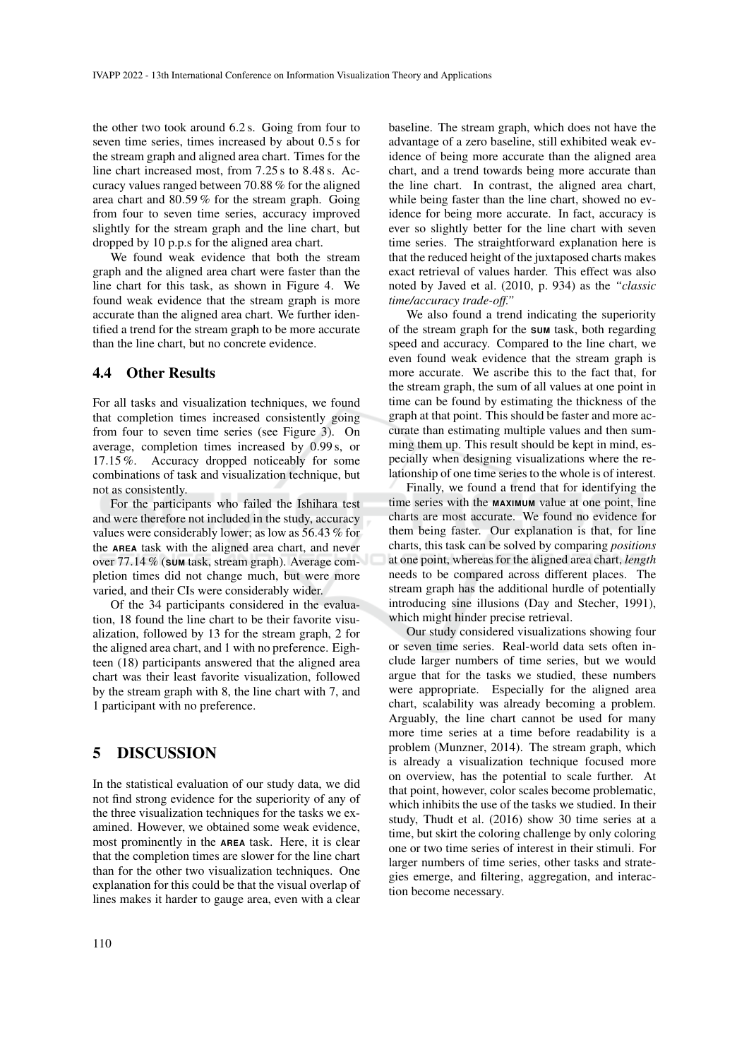the other two took around 6.2 s. Going from four to seven time series, times increased by about 0.5 s for the stream graph and aligned area chart. Times for the line chart increased most, from 7.25 s to 8.48 s. Accuracy values ranged between 70.88 % for the aligned area chart and 80.59 % for the stream graph. Going from four to seven time series, accuracy improved slightly for the stream graph and the line chart, but dropped by 10 p.p.s for the aligned area chart.

We found weak evidence that both the stream graph and the aligned area chart were faster than the line chart for this task, as shown in Figure 4. We found weak evidence that the stream graph is more accurate than the aligned area chart. We further identified a trend for the stream graph to be more accurate than the line chart, but no concrete evidence.

#### 4.4 Other Results

For all tasks and visualization techniques, we found that completion times increased consistently going from four to seven time series (see Figure 3). On average, completion times increased by 0.99 s, or 17.15 %. Accuracy dropped noticeably for some combinations of task and visualization technique, but not as consistently.

For the participants who failed the Ishihara test and were therefore not included in the study, accuracy values were considerably lower; as low as 56.43 % for the **AREA** task with the aligned area chart, and never over 77.14 % (**SUM** task, stream graph). Average completion times did not change much, but were more varied, and their CIs were considerably wider.

Of the 34 participants considered in the evaluation, 18 found the line chart to be their favorite visualization, followed by 13 for the stream graph, 2 for the aligned area chart, and 1 with no preference. Eighteen (18) participants answered that the aligned area chart was their least favorite visualization, followed by the stream graph with 8, the line chart with 7, and 1 participant with no preference.

## 5 DISCUSSION

In the statistical evaluation of our study data, we did not find strong evidence for the superiority of any of the three visualization techniques for the tasks we examined. However, we obtained some weak evidence, most prominently in the **AREA** task. Here, it is clear that the completion times are slower for the line chart than for the other two visualization techniques. One explanation for this could be that the visual overlap of lines makes it harder to gauge area, even with a clear

baseline. The stream graph, which does not have the advantage of a zero baseline, still exhibited weak evidence of being more accurate than the aligned area chart, and a trend towards being more accurate than the line chart. In contrast, the aligned area chart, while being faster than the line chart, showed no evidence for being more accurate. In fact, accuracy is ever so slightly better for the line chart with seven time series. The straightforward explanation here is that the reduced height of the juxtaposed charts makes exact retrieval of values harder. This effect was also noted by Javed et al. (2010, p. 934) as the *"classic time/accuracy trade-off."*

We also found a trend indicating the superiority of the stream graph for the **SUM** task, both regarding speed and accuracy. Compared to the line chart, we even found weak evidence that the stream graph is more accurate. We ascribe this to the fact that, for the stream graph, the sum of all values at one point in time can be found by estimating the thickness of the graph at that point. This should be faster and more accurate than estimating multiple values and then summing them up. This result should be kept in mind, especially when designing visualizations where the relationship of one time series to the whole is of interest.

Finally, we found a trend that for identifying the time series with the **MAXIMUM** value at one point, line charts are most accurate. We found no evidence for them being faster. Our explanation is that, for line charts, this task can be solved by comparing *positions* at one point, whereas for the aligned area chart, *length* needs to be compared across different places. The stream graph has the additional hurdle of potentially introducing sine illusions (Day and Stecher, 1991), which might hinder precise retrieval.

Our study considered visualizations showing four or seven time series. Real-world data sets often include larger numbers of time series, but we would argue that for the tasks we studied, these numbers were appropriate. Especially for the aligned area chart, scalability was already becoming a problem. Arguably, the line chart cannot be used for many more time series at a time before readability is a problem (Munzner, 2014). The stream graph, which is already a visualization technique focused more on overview, has the potential to scale further. At that point, however, color scales become problematic, which inhibits the use of the tasks we studied. In their study, Thudt et al. (2016) show 30 time series at a time, but skirt the coloring challenge by only coloring one or two time series of interest in their stimuli. For larger numbers of time series, other tasks and strategies emerge, and filtering, aggregation, and interaction become necessary.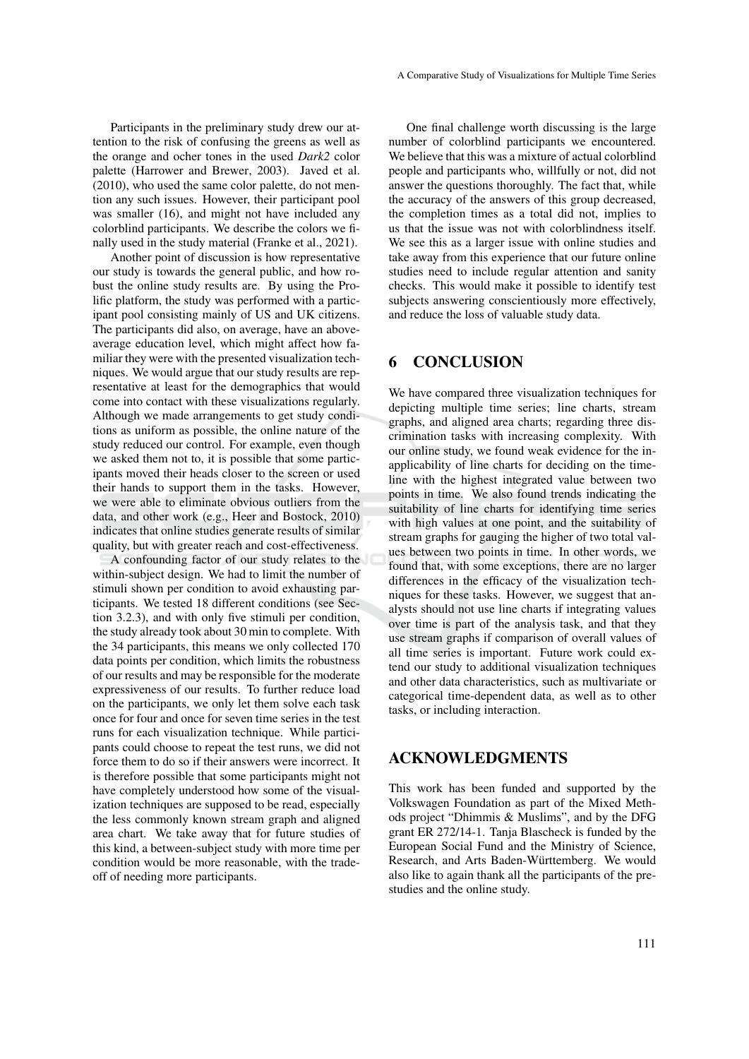Participants in the preliminary study drew our attention to the risk of confusing the greens as well as the orange and ocher tones in the used *Dark2* color palette (Harrower and Brewer, 2003). Javed et al. (2010), who used the same color palette, do not mention any such issues. However, their participant pool was smaller (16), and might not have included any colorblind participants. We describe the colors we finally used in the study material (Franke et al., 2021).

Another point of discussion is how representative our study is towards the general public, and how robust the online study results are. By using the Prolific platform, the study was performed with a participant pool consisting mainly of US and UK citizens. The participants did also, on average, have an aboveaverage education level, which might affect how familiar they were with the presented visualization techniques. We would argue that our study results are representative at least for the demographics that would come into contact with these visualizations regularly. Although we made arrangements to get study conditions as uniform as possible, the online nature of the study reduced our control. For example, even though we asked them not to, it is possible that some participants moved their heads closer to the screen or used their hands to support them in the tasks. However, we were able to eliminate obvious outliers from the data, and other work (e.g., Heer and Bostock, 2010) indicates that online studies generate results of similar quality, but with greater reach and cost-effectiveness.

A confounding factor of our study relates to the within-subject design. We had to limit the number of stimuli shown per condition to avoid exhausting participants. We tested 18 different conditions (see Section 3.2.3), and with only five stimuli per condition, the study already took about 30 min to complete. With the 34 participants, this means we only collected 170 data points per condition, which limits the robustness of our results and may be responsible for the moderate expressiveness of our results. To further reduce load on the participants, we only let them solve each task once for four and once for seven time series in the test runs for each visualization technique. While participants could choose to repeat the test runs, we did not force them to do so if their answers were incorrect. It is therefore possible that some participants might not have completely understood how some of the visualization techniques are supposed to be read, especially the less commonly known stream graph and aligned area chart. We take away that for future studies of this kind, a between-subject study with more time per condition would be more reasonable, with the tradeoff of needing more participants.

One final challenge worth discussing is the large number of colorblind participants we encountered. We believe that this was a mixture of actual colorblind people and participants who, willfully or not, did not answer the questions thoroughly. The fact that, while the accuracy of the answers of this group decreased, the completion times as a total did not, implies to us that the issue was not with colorblindness itself. We see this as a larger issue with online studies and take away from this experience that our future online studies need to include regular attention and sanity checks. This would make it possible to identify test subjects answering conscientiously more effectively, and reduce the loss of valuable study data.

### 6 CONCLUSION

We have compared three visualization techniques for depicting multiple time series; line charts, stream graphs, and aligned area charts; regarding three discrimination tasks with increasing complexity. With our online study, we found weak evidence for the inapplicability of line charts for deciding on the timeline with the highest integrated value between two points in time. We also found trends indicating the suitability of line charts for identifying time series with high values at one point, and the suitability of stream graphs for gauging the higher of two total values between two points in time. In other words, we found that, with some exceptions, there are no larger differences in the efficacy of the visualization techniques for these tasks. However, we suggest that analysts should not use line charts if integrating values over time is part of the analysis task, and that they use stream graphs if comparison of overall values of all time series is important. Future work could extend our study to additional visualization techniques and other data characteristics, such as multivariate or categorical time-dependent data, as well as to other tasks, or including interaction.

### ACKNOWLEDGMENTS

This work has been funded and supported by the Volkswagen Foundation as part of the Mixed Methods project "Dhimmis & Muslims", and by the DFG grant ER 272/14-1. Tanja Blascheck is funded by the European Social Fund and the Ministry of Science, Research, and Arts Baden-Württemberg. We would also like to again thank all the participants of the prestudies and the online study.